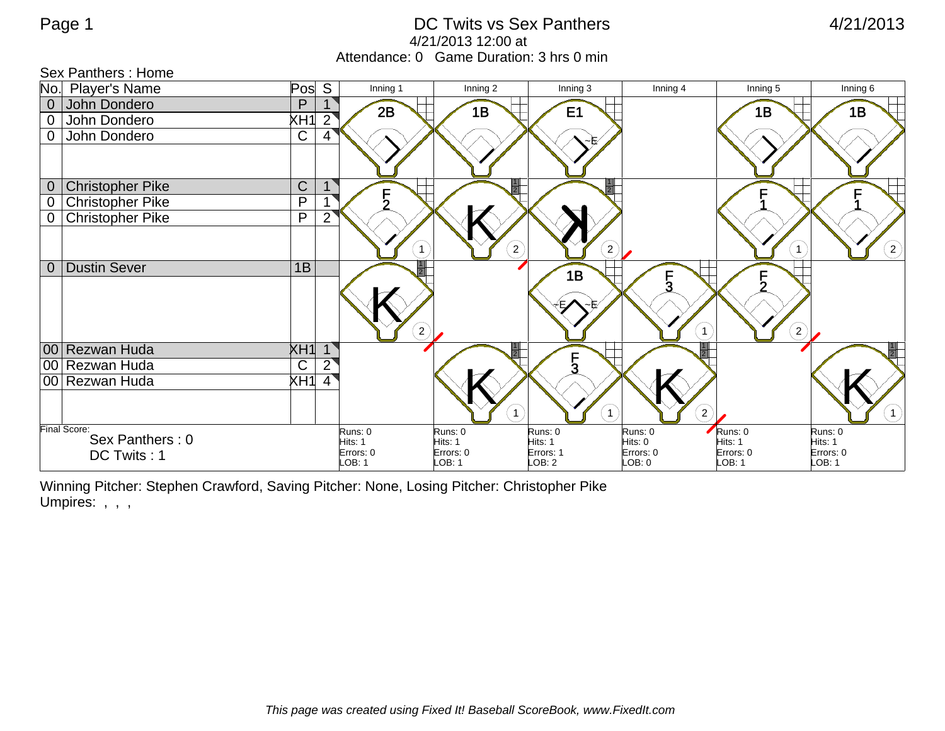Sex Panthers : Home

## Page 1 and 121/2013 CDC Twits vs Sex Panthers 120013 A/21/2013 4/21/2013 12:00 at Attendance: 0 Game Duration: 3 hrs 0 min

|                  | <u>oon i alitiiois . Lioliio</u> |                |                     |                     |                                     |                     |                       |                     |
|------------------|----------------------------------|----------------|---------------------|---------------------|-------------------------------------|---------------------|-----------------------|---------------------|
|                  | No. Player's Name                | Pos            | S<br>Inning 1       | Inning 2            | Inning 3                            | Inning 4            | Inning 5              | Inning 6            |
| $\overline{0}$   | John Dondero                     | P              | 2B                  | 1B                  | E <sub>1</sub>                      |                     | 1B                    | 1B                  |
| $\mathbf 0$      | John Dondero                     | XH1            | $\overline{2}$      |                     |                                     |                     |                       |                     |
| $\overline{0}$   | John Dondero                     | $\mathsf C$    | 4                   |                     |                                     |                     |                       |                     |
|                  |                                  |                |                     |                     |                                     |                     |                       |                     |
|                  |                                  |                |                     |                     |                                     |                     |                       |                     |
| $\overline{0}$   | <b>Christopher Pike</b>          | $\mathsf C$    |                     |                     |                                     |                     |                       |                     |
| $\boldsymbol{0}$ | <b>Christopher Pike</b>          | P              | っ                   |                     |                                     |                     |                       |                     |
| $\overline{0}$   | <b>Christopher Pike</b>          | $\overline{P}$ | $\overline{2}$      |                     |                                     |                     |                       |                     |
|                  |                                  |                |                     |                     |                                     |                     |                       |                     |
|                  |                                  |                | $\mathbf{1}$        |                     | $\left( 2\right)$<br>$2^{^{\circ}}$ |                     | $\mathbf{1}$          | $^{'}2)$            |
| $\overline{0}$   | <b>Dustin Sever</b>              | 1B             |                     |                     | 1B                                  |                     | F                     |                     |
|                  |                                  |                |                     |                     |                                     | F<br>3              |                       |                     |
|                  |                                  |                |                     |                     |                                     |                     |                       |                     |
|                  |                                  |                |                     |                     |                                     |                     |                       |                     |
|                  |                                  |                | $\left( 2\right)$   |                     |                                     | $\mathbf{1}$        | $\left( 2\right)$     |                     |
|                  | 00 Rezwan Huda                   | XH1            |                     |                     |                                     |                     |                       |                     |
|                  | 00 Rezwan Huda                   | $\mathsf{C}$   | $\overline{2}$      |                     | $\frac{1}{3}$                       |                     |                       |                     |
|                  | 00 Rezwan Huda                   | XH1            | $\overline{4}$      |                     |                                     |                     |                       |                     |
|                  |                                  |                |                     |                     |                                     |                     |                       |                     |
|                  |                                  |                |                     |                     | 1                                   | $\left( 2\right)$   |                       |                     |
|                  | Final Score:<br>Sex Panthers: 0  |                | Runs: 0             | Runs: 0             | Runs: 0                             | Runs: 0             | Runs: 0               | Runs: 0             |
|                  |                                  |                | Hits: 1             | Hits: 1             | Hits: 1                             | Hits: 0             | Hits: 1               | Hits: 1             |
|                  | DC Twits: 1                      |                | Errors: 0<br>LOB: 1 | Errors: 0<br>LOB: 1 | Errors: 1<br>LOB: 2                 | Errors: 0<br>LOB: 0 | Errors: 0<br>$-OB: 1$ | Errors: 0<br>LOB: 1 |
|                  |                                  |                |                     |                     |                                     |                     |                       |                     |

Winning Pitcher: Stephen Crawford, Saving Pitcher: None, Losing Pitcher: Christopher Pike Umpires: , , ,